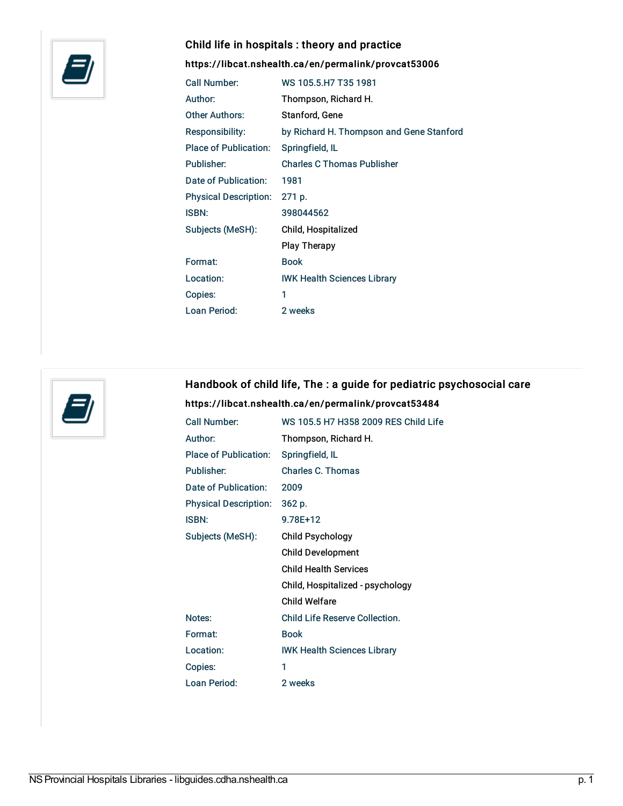

## Child life in hospitals : theory and practice

## <https://libcat.nshealth.ca/en/permalink/provcat53006>

| Call Number:                 | WS 105 5 H7 T35 1981                     |
|------------------------------|------------------------------------------|
| Author:                      | Thompson, Richard H.                     |
| Other Authors:               | Stanford, Gene                           |
| Responsibility:              | by Richard H. Thompson and Gene Stanford |
| <b>Place of Publication:</b> | Springfield, IL                          |
| Publisher:                   | <b>Charles C Thomas Publisher</b>        |
| Date of Publication:         | 1981                                     |
| <b>Physical Description:</b> | 271 p.                                   |
| ISBN:                        | 398044562                                |
| Subjects (MeSH):             | Child, Hospitalized                      |
|                              | <b>Play Therapy</b>                      |
| Format:                      | <b>Book</b>                              |
| Location:                    | <b>IWK Health Sciences Library</b>       |
| Copies:                      | 1                                        |
| Loan Period:                 | 2 weeks                                  |



# Handbook of child life, The : a guide for pediatric psychosocial care <https://libcat.nshealth.ca/en/permalink/provcat53484>

| Call Number:                 | WS 105.5 H7 H358 2009 RES Child Life |
|------------------------------|--------------------------------------|
| Author:                      | Thompson, Richard H.                 |
| <b>Place of Publication:</b> | Springfield, IL                      |
| Publisher:                   | <b>Charles C. Thomas</b>             |
| Date of Publication:         | 2009                                 |
| <b>Physical Description:</b> | 362 p.                               |
| ISBN:                        | 978F+12                              |
| Subjects (MeSH):             | Child Psychology                     |
|                              | <b>Child Development</b>             |
|                              | <b>Child Health Services</b>         |
|                              | Child, Hospitalized - psychology     |
|                              | Child Welfare                        |
| Notes:                       | Child Life Reserve Collection.       |
| Format:                      | <b>Book</b>                          |
| Location:                    | <b>IWK Health Sciences Library</b>   |
| Copies:                      | 1                                    |
| Loan Period:                 | 2 weeks                              |